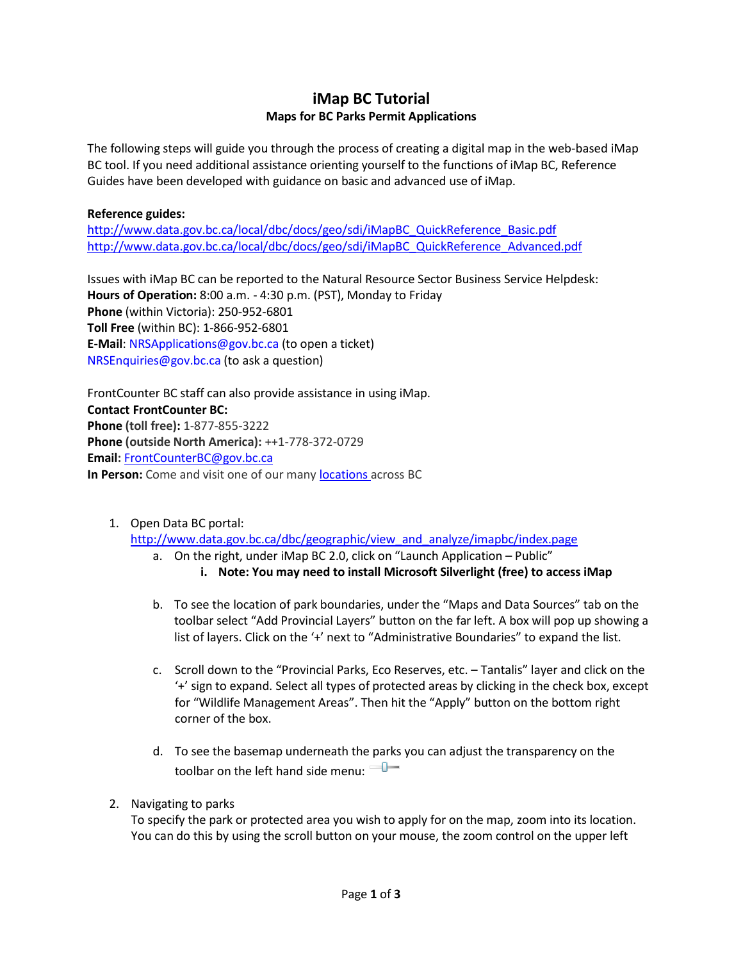## **iMap BC Tutorial Maps for BC Parks Permit Applications**

The following steps will guide you through the process of creating a digital map in the web-based iMap BC tool. If you need additional assistance orienting yourself to the functions of iMap BC, Reference Guides have been developed with guidance on basic and advanced use of iMap.

## **Reference guides:**

[http://www.data.gov.bc.ca/local/dbc/docs/geo/sdi/iMapBC\\_QuickReference\\_Basic.pdf](http://www.data.gov.bc.ca/local/dbc/docs/geo/sdi/iMapBC_QuickReference_Basic.pdf) [http://www.data.gov.bc.ca/local/dbc/docs/geo/sdi/iMapBC\\_QuickReference\\_Advanced.pdf](http://www.data.gov.bc.ca/local/dbc/docs/geo/sdi/iMapBC_QuickReference_Advanced.pdf)

Issues with iMap BC can be reported to the Natural Resource Sector Business Service Helpdesk: **Hours of Operation:** 8:00 a.m. - 4:30 p.m. (PST), Monday to Friday **Phone** (within Victoria): 250-952-6801 **Toll Free** (within BC): 1-866-952-6801 **E-Mail**[: NRSApplications@gov.bc.ca](mailto:NRSApplications@gov.bc.ca) (to open a ticket) [NRSEnquiries@gov.bc.ca](mailto:NRSEnquiries@gov.bc.ca) (to ask a question)

FrontCounter BC staff can also provide assistance in using iMap. **Contact FrontCounter BC: Phone (toll free):** 1-877-855-3222 **Phone (outside North America):** ++1-778-372-0729 **Email:** [FrontCounterBC@gov.bc.ca](mailto:FrontCounterBC@gov.bc.ca) **In Person:** Come and visit one of our many **[locations](http://www.frontcounterbc.gov.bc.ca/locations/)** across BC

1. Open Data BC portal:

[http://www.data.gov.bc.ca/dbc/geographic/view\\_and\\_analyze/imapbc/index.page](http://www.data.gov.bc.ca/dbc/geographic/view_and_analyze/imapbc/index.page)

- a. On the right, under iMap BC 2.0, click on "Launch Application Public" **i. Note: You may need to install Microsoft Silverlight (free) to access iMap**
- b. To see the location of park boundaries, under the "Maps and Data Sources" tab on the toolbar select "Add Provincial Layers" button on the far left. A box will pop up showing a list of layers. Click on the '+' next to "Administrative Boundaries" to expand the list.
- c. Scroll down to the "Provincial Parks, Eco Reserves, etc. Tantalis" layer and click on the '+' sign to expand. Select all types of protected areas by clicking in the check box, except for "Wildlife Management Areas". Then hit the "Apply" button on the bottom right corner of the box.
- d. To see the basemap underneath the parks you can adjust the transparency on the toolbar on the left hand side menu:
- 2. Navigating to parks

To specify the park or protected area you wish to apply for on the map, zoom into its location. You can do this by using the scroll button on your mouse, the zoom control on the upper left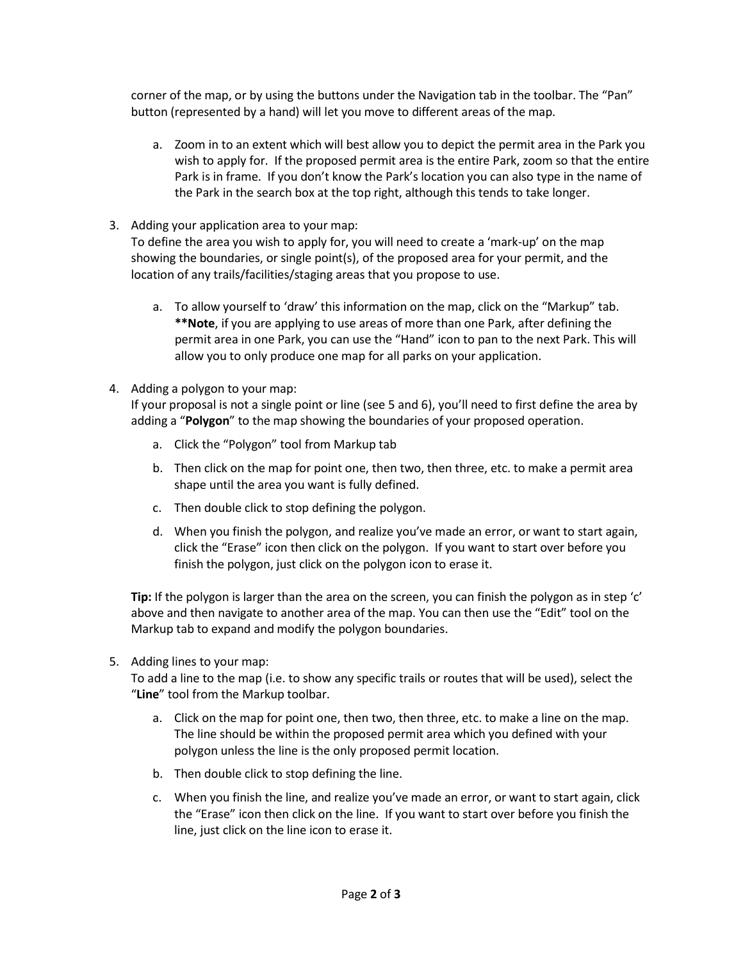corner of the map, or by using the buttons under the Navigation tab in the toolbar. The "Pan" button (represented by a hand) will let you move to different areas of the map.

- a. Zoom in to an extent which will best allow you to depict the permit area in the Park you wish to apply for. If the proposed permit area is the entire Park, zoom so that the entire Park is in frame. If you don't know the Park's location you can also type in the name of the Park in the search box at the top right, although this tends to take longer.
- 3. Adding your application area to your map:

To define the area you wish to apply for, you will need to create a 'mark-up' on the map showing the boundaries, or single point(s), of the proposed area for your permit, and the location of any trails/facilities/staging areas that you propose to use.

- a. To allow yourself to 'draw' this information on the map, click on the "Markup" tab. **\*\*Note**, if you are applying to use areas of more than one Park, after defining the permit area in one Park, you can use the "Hand" icon to pan to the next Park. This will allow you to only produce one map for all parks on your application.
- 4. Adding a polygon to your map:

If your proposal is not a single point or line (see 5 and 6), you'll need to first define the area by adding a "**Polygon**" to the map showing the boundaries of your proposed operation.

- a. Click the "Polygon" tool from Markup tab
- b. Then click on the map for point one, then two, then three, etc. to make a permit area shape until the area you want is fully defined.
- c. Then double click to stop defining the polygon.
- d. When you finish the polygon, and realize you've made an error, or want to start again, click the "Erase" icon then click on the polygon. If you want to start over before you finish the polygon, just click on the polygon icon to erase it.

**Tip:** If the polygon is larger than the area on the screen, you can finish the polygon as in step 'c' above and then navigate to another area of the map. You can then use the "Edit" tool on the Markup tab to expand and modify the polygon boundaries.

5. Adding lines to your map:

To add a line to the map (i.e. to show any specific trails or routes that will be used), select the "**Line**" tool from the Markup toolbar.

- a. Click on the map for point one, then two, then three, etc. to make a line on the map. The line should be within the proposed permit area which you defined with your polygon unless the line is the only proposed permit location.
- b. Then double click to stop defining the line.
- c. When you finish the line, and realize you've made an error, or want to start again, click the "Erase" icon then click on the line. If you want to start over before you finish the line, just click on the line icon to erase it.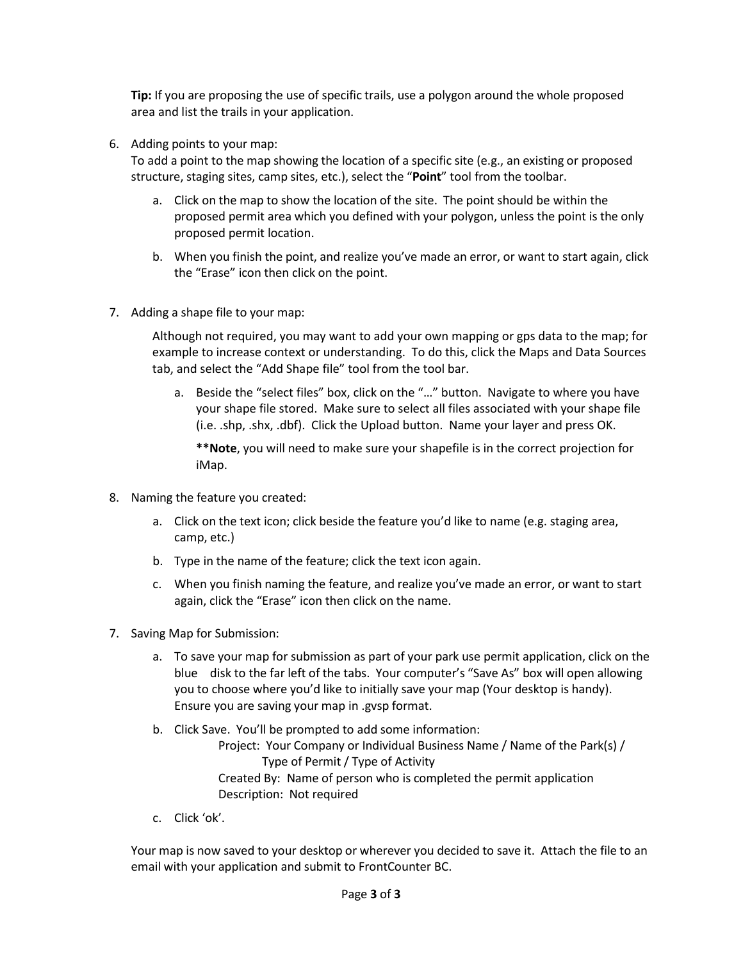**Tip:** If you are proposing the use of specific trails, use a polygon around the whole proposed area and list the trails in your application.

6. Adding points to your map:

To add a point to the map showing the location of a specific site (e.g., an existing or proposed structure, staging sites, camp sites, etc.), select the "**Point**" tool from the toolbar.

- a. Click on the map to show the location of the site. The point should be within the proposed permit area which you defined with your polygon, unless the point is the only proposed permit location.
- b. When you finish the point, and realize you've made an error, or want to start again, click the "Erase" icon then click on the point.
- 7. Adding a shape file to your map:

Although not required, you may want to add your own mapping or gps data to the map; for example to increase context or understanding. To do this, click the Maps and Data Sources tab, and select the "Add Shape file" tool from the tool bar.

a. Beside the "select files" box, click on the "…" button. Navigate to where you have your shape file stored. Make sure to select all files associated with your shape file (i.e. .shp, .shx, .dbf). Click the Upload button. Name your layer and press OK.

**\*\*Note**, you will need to make sure your shapefile is in the correct projection for iMap.

- 8. Naming the feature you created:
	- a. Click on the text icon; click beside the feature you'd like to name (e.g. staging area, camp, etc.)
	- b. Type in the name of the feature; click the text icon again.
	- c. When you finish naming the feature, and realize you've made an error, or want to start again, click the "Erase" icon then click on the name.
- 7. Saving Map for Submission:
	- a. To save your map for submission as part of your park use permit application, click on the blue disk to the far left of the tabs. Your computer's "Save As" box will open allowing you to choose where you'd like to initially save your map (Your desktop is handy). Ensure you are saving your map in .gvsp format.
	- b. Click Save. You'll be prompted to add some information: Project: Your Company or Individual Business Name / Name of the Park(s) / Type of Permit / Type of Activity Created By: Name of person who is completed the permit application Description: Not required
	- c. Click 'ok'.

Your map is now saved to your desktop or wherever you decided to save it. Attach the file to an email with your application and submit to FrontCounter BC.